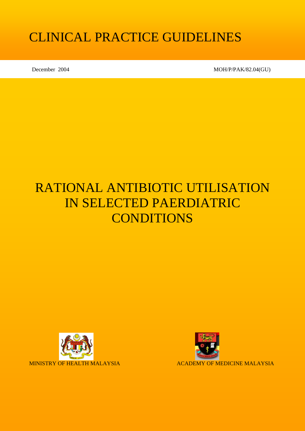# CLINICAL PRACTICE GUIDELINES

December 2004 MOH/P/PAK/82.04(GU)

# RATIONAL ANTIBIOTIC UTILISATION IN SELECTED PAERDIATRIC **CONDITIONS**



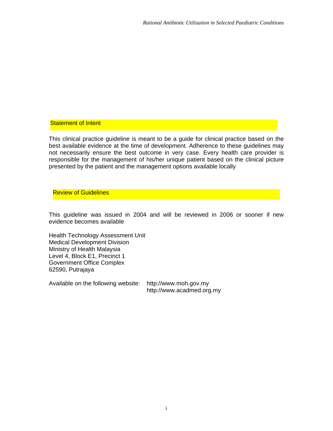#### **Statement of Intent**

This clinical practice guideline is meant to be a guide for clinical practice based on the best available evidence at the time of development. Adherence to these guidelines may not necessarily ensure the best outcome in very case. Every health care provider is responsible for the management of his/her unique patient based on the clinical picture presented by the patient and the management options available locally

#### Review of Guidelines

This guideline was issued in 2004 and will be reviewed in 2006 or sooner if new evidence becomes available

Health Technology Assessment Unit Medical Development Division Ministry of Health Malaysia Level 4, Block E1, Precinct 1 Government Office Complex 62590, Putrajaya

Available on the following website: http://www.moh.gov.my

http://www.acadmed.org.my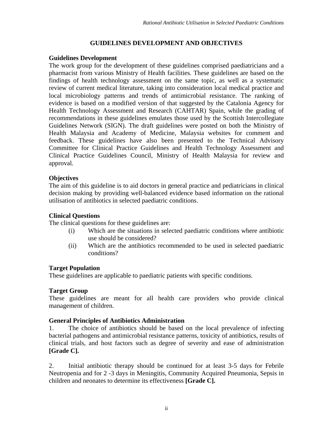#### **GUIDELINES DEVELOPMENT AND OBJECTIVES**

#### **Guidelines Development**

The work group for the development of these guidelines comprised paediatricians and a pharmacist from various Ministry of Health facilities. These guidelines are based on the findings of health technology assessment on the same topic, as well as a systematic review of current medical literature, taking into consideration local medical practice and local microbiology patterns and trends of antimicrobial resistance. The ranking of evidence is based on a modified version of that suggested by the Catalonia Agency for Health Technology Assessment and Research (CAHTAR) Spain, while the grading of recommendations in these guidelines emulates those used by the Scottish Intercollegiate Guidelines Network (SIGN). The draft guidelines were posted on both the Ministry of Health Malaysia and Academy of Medicine, Malaysia websites for comment and feedback. These guidelines have also been presented to the Technical Advisory Committee for Clinical Practice Guidelines and Health Technology Assessment and Clinical Practice Guidelines Council, Ministry of Health Malaysia for review and approval.

#### **Objectives**

The aim of this guideline is to aid doctors in general practice and pediatricians in clinical decision making by providing well-balanced evidence based information on the rational utilisation of antibiotics in selected paediatric conditions.

#### **Clinical Questions**

The clinical questions for these guidelines are:

- (i) Which are the situations in selected paediatric conditions where antibiotic use should be considered?
- (ii) Which are the antibiotics recommended to be used in selected paediatric conditions?

#### **Target Population**

These guidelines are applicable to paediatric patients with specific conditions.

#### **Target Group**

These guidelines are meant for all health care providers who provide clinical management of children.

#### **General Principles of Antibiotics Administration**

1. The choice of antibiotics should be based on the local prevalence of infecting bacterial pathogens and antimicrobial resistance patterns, toxicity of antibiotics, results of clinical trials, and host factors such as degree of severity and ease of administration **[Grade C].**

2. Initial antibiotic therapy should be continued for at least 3-5 days for Febrile Neutropenia and for 2 -3 days in Meningitis, Community Acquired Pneumonia, Sepsis in children and neonates to determine its effectiveness **[Grade C].**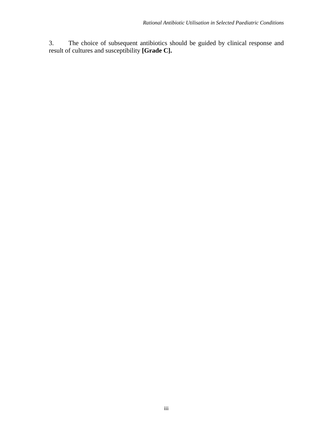3. The choice of subsequent antibiotics should be guided by clinical response and result of cultures and susceptibility **[Grade C].**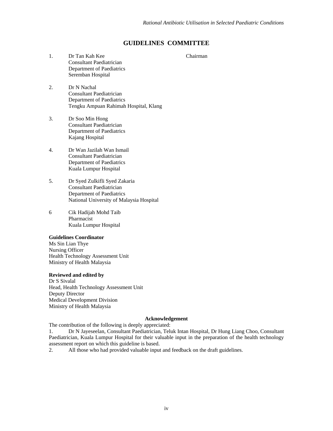#### **GUIDELINES COMMITTEE**

- 1. Dr Tan Kah Kee Chairman Consultant Paediatrician Department of Paediatrics Seremban Hospital
- 2. Dr N Nachal Consultant Paediatrician Department of Paediatrics Tengku Ampuan Rahimah Hospital, Klang
- 3. Dr Soo Min Hong Consultant Paediatrician Department of Paediatrics Kajang Hospital
- 4. Dr Wan Jazilah Wan Ismail Consultant Paediatrician Department of Paediatrics Kuala Lumpur Hospital
- 5. Dr Syed Zulkifli Syed Zakaria Consultant Paediatrician Department of Paediatrics National University of Malaysia Hospital
- 6 Cik Hadijah Mohd Taib Pharmacist Kuala Lumpur Hospital

#### **Guidelines Coordinator**

Ms Sin Lian Thye Nursing Officer Health Technology Assessment Unit Ministry of Health Malaysia

#### **Reviewed and edited by**

Dr S Sivalal Head, Health Technology Assessment Unit Deputy Director Medical Development Division Ministry of Health Malaysia

#### **Acknowledgement**

The contribution of the following is deeply appreciated:

1. Dr N Jayeseelan, Consultant Paediatrician, Teluk Intan Hospital, Dr Hung Liang Choo, Consultant Paediatrician, Kuala Lumpur Hospital for their valuable input in the preparation of the health technology assessment report on which this guideline is based.

2. All those who had provided valuable input and feedback on the draft guidelines.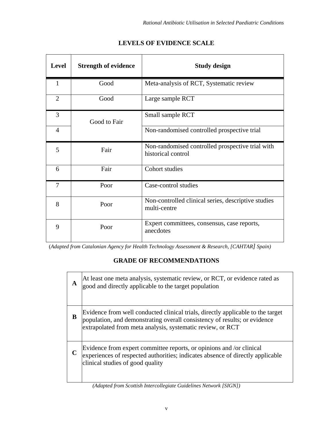| <b>Level</b>   | <b>Strength of evidence</b> | <b>Study design</b>                                                    |
|----------------|-----------------------------|------------------------------------------------------------------------|
| $\mathbf{1}$   | Good                        | Meta-analysis of RCT, Systematic review                                |
| $\overline{2}$ | Good                        | Large sample RCT                                                       |
| 3              | Good to Fair                | Small sample RCT                                                       |
| $\overline{4}$ |                             | Non-randomised controlled prospective trial                            |
| 5              | Fair                        | Non-randomised controlled prospective trial with<br>historical control |
| 6              | Fair                        | Cohort studies                                                         |
| 7              | Poor                        | Case-control studies                                                   |
| 8              | Poor                        | Non-controlled clinical series, descriptive studies<br>multi-centre    |
| 9              | Poor                        | Expert committees, consensus, case reports,<br>anecdotes               |

# **LEVELS OF EVIDENCE SCALE**

(*Adapted from Catalonian Agency for Health Technology Assessment & Research, [CAHTAR] Spain)*

# **GRADE OF RECOMMENDATIONS**

| A | At least one meta analysis, systematic review, or RCT, or evidence rated as<br>good and directly applicable to the target population                                                                                       |
|---|----------------------------------------------------------------------------------------------------------------------------------------------------------------------------------------------------------------------------|
| B | Evidence from well conducted clinical trials, directly applicable to the target<br>population, and demonstrating overall consistency of results; or evidence<br>extrapolated from meta analysis, systematic review, or RCT |
|   | Evidence from expert committee reports, or opinions and /or clinical<br>experiences of respected authorities; indicates absence of directly applicable<br>clinical studies of good quality                                 |

*(Adapted from Scottish Intercollegiate Guidelines Network [SIGN])*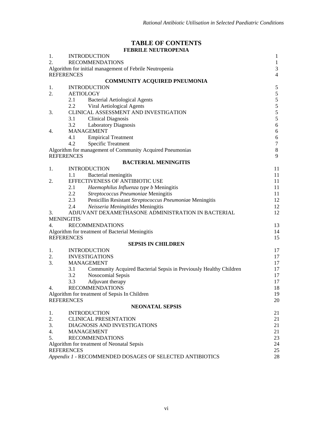#### **TABLE OF CONTENTS FEBRILE NEUTROPENIA**

| 1.                                                             | <b>INTRODUCTION</b><br>1                                                  |                |  |
|----------------------------------------------------------------|---------------------------------------------------------------------------|----------------|--|
| 2.                                                             | <b>RECOMMENDATIONS</b>                                                    |                |  |
|                                                                | Algorithm for initial management of Febrile Neutropenia                   |                |  |
| <b>REFERENCES</b>                                              |                                                                           | $\overline{4}$ |  |
|                                                                | <b>COMMUNITY ACQUIRED PNEUMONIA</b>                                       |                |  |
| 1.                                                             | <b>INTRODUCTION</b>                                                       | $\sqrt{5}$     |  |
| 2.                                                             | <b>AETIOLOGY</b>                                                          | $\sqrt{5}$     |  |
|                                                                | 2.1<br><b>Bacterial Aetiological Agents</b>                               | 5              |  |
|                                                                | 2.2<br>Viral Aetiological Agents                                          | 5              |  |
| 3.                                                             | CLINICAL ASSESSMENT AND INVESTIGATION                                     | $\frac{5}{5}$  |  |
|                                                                | 3.1<br><b>Clinical Diagnosis</b>                                          |                |  |
|                                                                | 3.2<br><b>Laboratory Diagnosis</b>                                        | $\sqrt{6}$     |  |
| 4.                                                             | <b>MANAGEMENT</b>                                                         | $\sqrt{6}$     |  |
|                                                                | <b>Empirical Treatment</b><br>4.1                                         | $\sqrt{6}$     |  |
|                                                                | 4.2<br><b>Specific Treatment</b>                                          | $\tau$         |  |
|                                                                | Algorithm for management of Community Acquired Pneumonias                 | $8\,$          |  |
| <b>REFERENCES</b>                                              |                                                                           | 9              |  |
|                                                                | <b>BACTERIAL MENINGITIS</b>                                               |                |  |
| 1.                                                             | <b>INTRODUCTION</b>                                                       | 11             |  |
|                                                                | Bacterial meningitis<br>1.1                                               | 11             |  |
| 2.                                                             | EFFECTIVENESS OF ANTIBIOTIC USE                                           | 11             |  |
|                                                                | 2.1<br>Haemophilus Influenza type b Meningitis                            | 11             |  |
|                                                                | $2.2^{\circ}$<br>Streptococcus Pneumoniae Meningitis                      | 11             |  |
|                                                                | 2.3<br>Penicillin Resistant Streptococcus Pneumoniae Meningitis           | 12             |  |
|                                                                | 2.4<br>Neisseria Meningitides Meningitis                                  | 12             |  |
| 3.                                                             | ADJUVANT DEXAMETHASONE ADMINISTRATION IN BACTERIAL                        | 12             |  |
| <b>MENINGITIS</b>                                              |                                                                           |                |  |
| 4.                                                             | <b>RECOMMENDATIONS</b>                                                    | 13             |  |
| <b>REFERENCES</b>                                              | Algorithm for treatment of Bacterial Meningitis                           | 14             |  |
|                                                                |                                                                           | 15             |  |
| 1.                                                             | <b>SEPSIS IN CHILDREN</b><br><b>INTRODUCTION</b>                          | 17             |  |
| 2.                                                             | <b>INVESTIGATIONS</b>                                                     | 17             |  |
| 3.                                                             | <b>MANAGEMENT</b>                                                         | 17             |  |
|                                                                | 3.1<br>Community Acquired Bacterial Sepsis in Previously Healthy Children | 17             |  |
|                                                                | 3.2<br>Nosocomial Sepsis                                                  | 17             |  |
|                                                                | 3.3<br>Adjuvant therapy                                                   | 17             |  |
| 4.                                                             | <b>RECOMMENDATIONS</b>                                                    | 18             |  |
|                                                                | Algorithm for treatment of Sepsis In Children                             | 19             |  |
| <b>REFERENCES</b>                                              |                                                                           | 20             |  |
|                                                                | <b>NEONATAL SEPSIS</b>                                                    |                |  |
| 1.                                                             | <b>INTRODUCTION</b>                                                       | 21             |  |
| 2.                                                             | <b>CLINICAL PRESENTATION</b>                                              | 21             |  |
| 3.                                                             | DIAGNOSIS AND INVESTIGATIONS                                              | 21             |  |
| 4.                                                             | 21<br><b>MANAGEMENT</b>                                                   |                |  |
| 5.                                                             | <b>RECOMMENDATIONS</b>                                                    | 23             |  |
|                                                                | Algorithm for treatment of Neonatal Sepsis                                | 24             |  |
|                                                                | <b>REFERENCES</b><br>25                                                   |                |  |
| Appendix 1 - RECOMMENDED DOSAGES OF SELECTED ANTIBIOTICS<br>28 |                                                                           |                |  |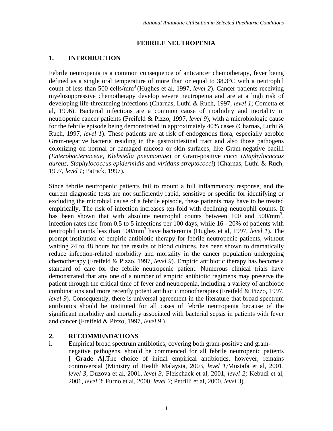#### **FEBRILE NEUTROPENIA**

#### **1. INTRODUCTION**

Febrile neutropenia is a common consequence of anticancer chemotherapy, fever being defined as a single oral temperature of more than or equal to 38.3°C with a neutrophil count of less than 500 cells/mm<sup>3</sup> (Hughes et al, 1997, *level 2*). Cancer patients receiving myelosuppressive chemotherapy develop severe neutropenia and are at a high risk of developing life-threatening infections (Charnas, Luthi & Ruch, 1997, *level 1*; Cometta et al, 1996). Bacterial infections are a common cause of morbidity and mortality in neutropenic cancer patients (Freifeld & Pizzo, 1997, *level 9*), with a microbiologic cause for the febrile episode being demonstrated in approximately 40% cases (Charnas, Luthi & Ruch, 1997, *level 1*). These patients are at risk of endogenous flora, especially aerobic Gram-negative bacteria residing in the gastrointestinal tract and also those pathogens colonizing on normal or damaged mucosa or skin surfaces, like Gram-negative bacilli *(Enterobacteriaceae, Klebsiella pneumoniae*) or Gram-positive cocci (*Staphylococcus aureus, Staphylococcus epidermidis* and *viridans streptococci*) (Charnas, Luthi & Ruch, 1997, *level 1*; Patrick, 1997).

Since febrile neutropenic patients fail to mount a full inflammatory response, and the current diagnostic tests are not sufficiently rapid, sensitive or specific for identifying or excluding the microbial cause of a febrile episode, these patients may have to be treated empirically. The risk of infection increases ten-fold with declining neutrophil counts. It has been shown that with absolute neutrophil counts between 100 and 500/mm<sup>3</sup>, infection rates rise from 0.5 to 5 infections per 100 days, while 16 - 20% of patients with neutrophil counts less than 100/mm3 have bacteremia (Hughes et al, 1997, *level 1*). The prompt institution of empiric antibiotic therapy for febrile neutropenic patients, without waiting 24 to 48 hours for the results of blood cultures, has been shown to dramatically reduce infection-related morbidity and mortality in the cancer population undergoing chemotherapy (Freifeld & Pizzo, 1997, *level 9*). Empiric antibiotic therapy has become a standard of care for the febrile neutropenic patient. Numerous clinical trials have demonstrated that any one of a number of empiric antibiotic regimens may preserve the patient through the critical time of fever and neutropenia, including a variety of antibiotic combinations and more recently potent antibiotic monotherapies (Freifeld & Pizzo, 1997, *level 9*). Consequently, there is universal agreement in the literature that broad spectrum antibiotics should be instituted for all cases of febrile neutropenia because of the significant morbidity and mortality associated with bacterial sepsis in patients with fever and cancer (Freifeld & Pizzo, 1997*, level 9* ).

#### **2. RECOMMENDATIONS**

i. Empirical broad spectrum antibiotics, covering both gram-positive and gramnegative pathogens, should be commenced for all febrile neutropenic patients **[ Grade A]**.The choice of initial empirical antibiotics, however, remains controversial (Ministry of Health Malaysia, 2003, *level 1;*Mustafa et al, 2001, *level 3*; Duzova et al, 2001, *level 3;* Fleischack et al, 2001, *level 2;* Kebudi et al, 2001, *level 3*; Furno et al, 2000, *level 2*; Petrilli et al, 2000, *level 3*).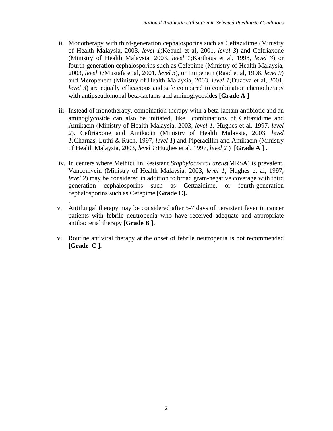- ii. Monotherapy with third-generation cephalosporins such as Ceftazidime (Ministry of Health Malaysia, 2003, *level 1;*Kebudi et al, 2001, *level 3*) and Ceftriaxone (Ministry of Health Malaysia, 2003, *level 1;*Karthaus et al, 1998, *level 3*) or fourth-generation cephalosporins such as Cefepime (Ministry of Health Malaysia, 2003, *level 1;*Mustafa et al, 2001, *level 3*), or Imipenem (Raad et al, 1998, *level 9*) and Meropenem (Ministry of Health Malaysia, 2003, *level 1;*Duzova et al, 2001, *level 3*) are equally efficacious and safe compared to combination chemotherapy with antipseudomonal beta-lactams and aminoglycosides **[Grade A ]**
- iii. Instead of monotherapy, combination therapy with a beta-lactam antibiotic and an aminoglycoside can also be initiated, like combinations of Ceftazidime and Amikacin (Ministry of Health Malaysia, 2003, *level 1;* Hughes et al, 1997, *level 2*), Ceftriaxone and Amikacin (Ministry of Health Malaysia, 2003, *level 1;*Charnas, Luthi & Ruch, 1997, *level 1*) and Piperacillin and Amikacin (Ministry of Health Malaysia, 2003, *level 1;*Hughes et al, 1997, *level 2* ) **[Grade A ] .**
- iv. In centers where Methicillin Resistant *Staphylococcal areus*(MRSA) is prevalent, Vancomycin (Ministry of Health Malaysia, 2003, *level 1;* Hughes et al, 1997, *level 2*) may be considered in addition to broad gram-negative coverage with third generation cephalosporins such as Ceftazidime, or fourth-generation cephalosporins such as Cefepime **[Grade C].**
- v. Antifungal therapy may be considered after 5-7 days of persistent fever in cancer patients with febrile neutropenia who have received adequate and appropriate antibacterial therapy **[Grade B ].**

.

 vi. Routine antiviral therapy at the onset of febrile neutropenia is not recommended **[Grade C ].**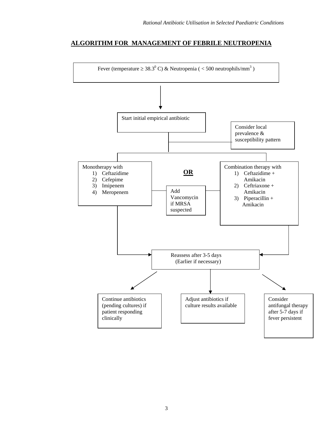#### **ALGORITHM FOR MANAGEMENT OF FEBRILE NEUTROPENIA**

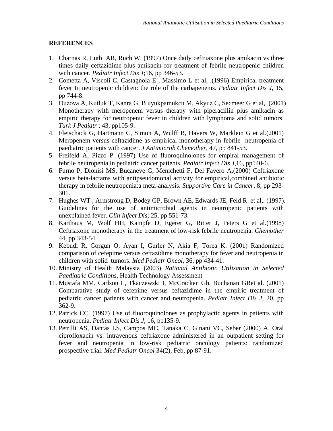#### **REFERENCES**

- 1. Charnas R, Luthi AR, Ruch W. (1997) Once daily ceftriaxone plus amikacin vs three times daily ceftazidime plus amikacin for treatment of febrile neutropenic children with cancer. *Pediatr Infect Dis J*;16, pp 346-53.
- 2. Cometta A, Viscoli C, Castagnola E , Massimo L et al, .(1996) Empirical treatment fever In neutropenic children: the role of the carbapenems. *Pediatr Infect Dis J*, 15, pp 744-8.
- 3. Duzova A, Kutluk T, Kanra G, B uyukpamukcu M, Akyuz C, Secmeer G et al,. (2001) Monotherapy with meropenem versus therapy with piperacillin plus amikacin as empiric therapy for neutropenic fever in children with lymphoma and solid tumors. *Turk J Pediatr* ; 43, pp105-9.
- 4. Fleischack G, Hartmann C, Simon A, Wulff B, Havers W, Marklein G et al.(2001) Meropenem versus ceftazidime as empirical monotherapy in febrile neutropenia of paediatric patients with cancer. *J Antimicrob Chemother,* 47, pp 841-53.
- 5. Freifeld A, Pizzo P. (1997) Use of fluoroquinolones for empiral management of febrile neutropenia in pediatric cancer patients. *Pediatr Infect Dis J,*16, pp140-6.
- 6. Furno P, Dionisi MS, Bucaneve G, Menichetti F, Del Favero A.(2000) Ceftriaxone versus beta-lactams with antipseudomonal activity for empirical,combined antibiotic therapy in febrile neutropenia:a meta-analysis. *Supportive Care in Cancer,* 8, pp 293- 301.
- 7. Hughes WT , Armstrong D, Bodey GP, Brown AE, Edwards JE, Feld R et al,. (1997). Guidelines for the use of antimicrobial agents in neutropenic patients with unexplained fever. *Clin Infect Dis*; 25, pp 551-73.
- 8. Karthaus M, Wolf HH, Kampfe D, Egerer G, Ritter J, Peters G et al.(1998) Ceftriaxone monotherapy in the treatment of low-risk febrile neutropenia. *Chemother* 44, pp 343-54.
- 9. Kebudi R, Gorgun O, Ayan I, Gurler N, Akia F, Torea K. (2001) Randomized comparison of cefepime versus ceftazidime monotherapy for fever and neutropenia in children with solid tumors. *Med Pediatr Oncol,* 36, pp 434-41.
- 10. Ministry of Health Malaysia (2003) *Rational Antibiotic Utilisation in Selected Paediatric Conditions,* Health Technology Assessment
- 11. Mustafa MM, Carlson L, Tkaczewski I, McCracken Gh, Buchanan GRet al. (2001) Comparative study of cefepime versus ceftazidime in the empiric treatment of pediatric cancer patients with cancer and neutropenia. *Pediatr Infect Dis J,* 20, pp 362-9.
- 12. Patrick CC. (1997) Use of fluoroquinolones as prophylactic agents in patients with neutropenia. *Pediatr Infect Dis J*, 16, pp135-9.
- 13. Petrilli AS, Dantas LS, Campos MC, Tanaka C, Ginani VC, Seber (2000) A. Oral ciprofloxacin vs. intravenous ceftriaxone administered in an outpatient setting for fever and neutropenia in low-risk pediatric oncology patients: randomized prospective trial. *Med Pediatr Oncol* 34(2), Feb, pp 87-91.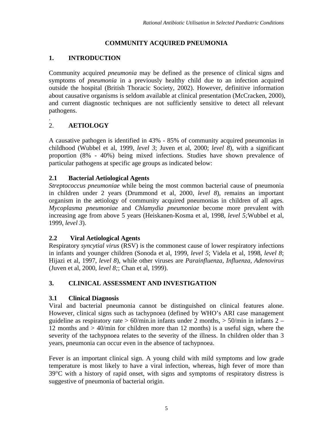# **COMMUNITY ACQUIRED PNEUMONIA**

# **1. INTRODUCTION**

Community acquired *pneumonia* may be defined as the presence of clinical signs and symptoms of *pneumonia* in a previously healthy child due to an infection acquired outside the hospital (British Thoracic Society, 2002). However, definitive information about causative organisms is seldom available at clinical presentation (McCracken, 2000), and current diagnostic techniques are not sufficiently sensitive to detect all relevant pathogens.

#### . 2. **AETIOLOGY**

A causative pathogen is identified in 43% - 85% of community acquired pneumonias in childhood (Wubbel et al, 1999, *level 3*; Juven et al, 2000; *level 8*), with a significant proportion (8% - 40%) being mixed infections. Studies have shown prevalence of particular pathogens at specific age groups as indicated below:

# **2.1 Bacterial Aetiological Agents**

*Streptococcus pneumoniae* while being the most common bacterial cause of pneumonia in children under 2 years (Drummond et al, 2000, *level 8*), remains an important organism in the aetiology of community acquired pneumonias in children of all ages*. Mycoplasma pneumoniae* and *Chlamydia pneumoniae* become more prevalent with increasing age from above 5 years (Heiskanen-Kosma et al, 1998, *level 5;*Wubbel et al, 1999, *level 3*).

## **2.2 Viral Aetiological Agents**

Respiratory *syncytial virus* (RSV) is the commonest cause of lower respiratory infections in infants and younger children (Sonoda et al, 1999, *level 5*; Videla et al, 1998, *level 8*; Hijazi et al, 1997, *level 8*), while other viruses are *Parainfluenza, Influenza, Adenovirus* (Juven et al, 2000, *level 8;*; Chan et al, 1999).

# **3. CLINICAL ASSESSMENT AND INVESTIGATION**

# **3.1 Clinical Diagnosis**

Viral and bacterial pneumonia cannot be distinguished on clinical features alone. However, clinical signs such as tachypnoea (defined by WHO's ARI case management guideline as respiratory rate  $> 60$ /min.in infants under 2 months,  $> 50$ /min in infants 2 – 12 months and > 40/min for children more than 12 months) is a useful sign, where the severity of the tachypnoea relates to the severity of the illness. In children older than 3 years, pneumonia can occur even in the absence of tachypnoea.

Fever is an important clinical sign. A young child with mild symptoms and low grade temperature is most likely to have a viral infection, whereas, high fever of more than 39°C with a history of rapid onset, with signs and symptoms of respiratory distress is suggestive of pneumonia of bacterial origin.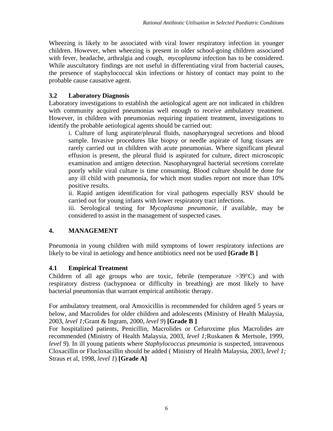Wheezing is likely to be associated with viral lower respiratory infection in younger children. However, when wheezing is present in older school-going children associated with fever, headache, arthralgia and cough, *mycoplasma* infection has to be considered. While auscultatory findings are not useful in differentiating viral from bacterial causes, the presence of staphylococcal skin infections or history of contact may point to the probable cause causative agent.

## **3.2 Laboratory Diagnosis**

Laboratory investigations to establish the aetiological agent are not indicated in children with community acquired pneumonias well enough to receive ambulatory treatment. However, in children with pneumonias requiring inpatient treatment, investigations to identify the probable aetiological agents should be carried out:

i. Culture of lung aspirate/pleural fluids, nasopharyngeal secretions and blood sample. Invasive procedures like biopsy or needle aspirate of lung tissues are rarely carried out in children with acute pneumonias. Where significant pleural effusion is present, the pleural fluid is aspirated for culture, direct microscopic examination and antigen detection. Nasopharyngeal bacterial secretions correlate poorly while viral culture is time consuming. Blood culture should be done for any ill child with pneumonia, for which most studies report not more than 10% positive results.

ii. Rapid antigen identification for viral pathogens especially RSV should be carried out for young infants with lower respiratory tract infections.

iii. Serological testing for *Mycoplasma pneumonie*, if available, may be considered to assist in the management of suspected cases.

# **4. MANAGEMENT**

Pneumonia in young children with mild symptoms of lower respiratory infections are likely to be viral in aetiology and hence antibiotics need not be used **[Grade B ]**

## **4.1 Empirical Treatment**

Children of all age groups who are toxic, febrile (temperature  $>39^{\circ}$ C) and with respiratory distress (tachypnoea or difficulty in breathing) are most likely to have bacterial pneumonias that warrant empirical antibiotic therapy.

For ambulatory treatment, oral Amoxicillin is recommended for children aged 5 years or below, and Macrolides for older children and adolescents (Ministry of Health Malaysia, 2003, *level 1;*Grant & Ingram, 2000, *level 9*) **[Grade B ]**

For hospitalized patients, Penicillin, Macrolides or Cefuroxime plus Macrolides are recommended (Ministry of Health Malaysia, 2003, *level 1;*Ruskanen & Mertsole, 1999, *level 9*). In ill young patients where *Staphylococcus pneumonia* is suspected, intravenous Cloxacillin or Flucloxacillin should be added ( Ministry of Health Malaysia, 2003, *level 1;* Straus et al, 1998, *level 1*) **[Grade A]**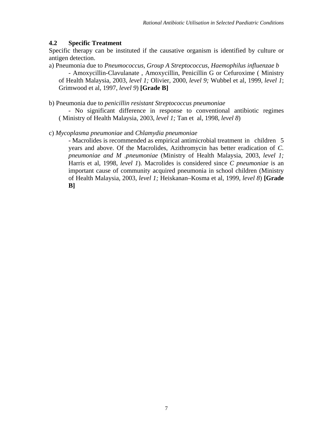#### **4.2 Specific Treatment**

Specific therapy can be instituted if the causative organism is identified by culture or antigen detection.

a) Pneumonia due to *Pneumococcus, Group A Streptococcus, Haemophilus influenzae b*  - Amoxycillin-Clavulanate , Amoxycillin, Penicillin G or Cefuroxime ( Ministry of Health Malaysia, 2003, *level 1;* Olivier, 2000, *level 9;* Wubbel et al, 1999, *level 1*; Grimwood et al, 1997, *level 9*) **[Grade B]** 

b) Pneumonia due to *penicillin resistant Streptococcus pneumoniae*

- No significant difference in response to conventional antibiotic regimes ( Ministry of Health Malaysia, 2003, *level 1;* Tan et al, 1998, *level 8*)

c) *Mycoplasma pneumoniae* and *Chlamydia pneumoniae*

- Macrolides is recommended as empirical antimicrobial treatment in children 5 years and above. Of the Macrolides, Azithromycin has better eradication of *C. pneumoniae and M .pneumoniae* (Ministry of Health Malaysia, 2003, *level 1;* Harris et al, 1998, *level 1*). Macrolides is considered since *C pneumoniae* is an important cause of community acquired pneumonia in school children (Ministry of Health Malaysia, 2003, *level 1;* Heiskanan–Kosma et al, 1999, *level 8*) **[Grade B]**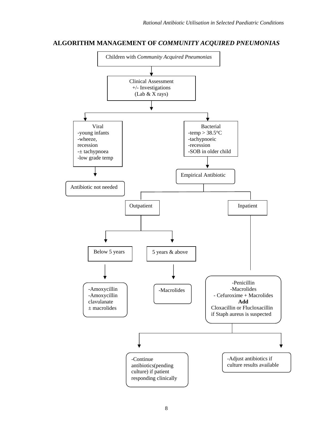#### **ALGORITHM MANAGEMENT OF** *COMMUNITY ACQUIRED PNEUMONIAS*

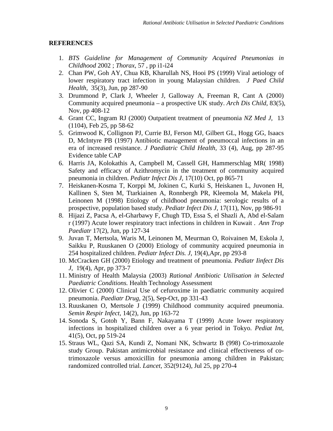#### **REFERENCES**

- 1. *BTS Guideline for Management of Community Acquired Pneumonias in Childhood* 2002 ; *Thorax*, 57 , pp i1-i24
- 2. Chan PW, Goh AY, Chua KB, Kharullah NS, Hooi PS (1999) Viral aetiology of lower respiratory tract infection in young Malaysian children. *J Paed Child Health,* 35(3), Jun, pp 287-90
- 3. Drummond P, Clark J, Wheeler J, Galloway A, Freeman R, Cant A (2000) Community acquired pneumonia – a prospective UK study. *Arch Dis Child,* 83(5), Nov, pp 408-12
- 4. Grant CC, Ingram RJ (2000) Outpatient treatment of pneumonia *NZ Med J,* 13 (1104), Feb 25, pp 58-62
- 5. Grimwood K, Collignon PJ, Currie BJ, Ferson MJ, Gilbert GL, Hogg GG, Isaacs D, McIntyre PB (1997) Antibiotic management of pneumoccal infections in an era of increased resistance. *J Paediatric Child Health,* 33 (4), Aug, pp 287-95 Evidence table CAP
- 6. Harris JA, Kolokathis A, Campbell M, Cassell GH, Hammerschlag MR( 1998) Safety and efficacy of Azithromycin in the treatment of community acquired pneumonia in children. *Pediatr Infect Dis J,* 17(10) Oct, pp 865-71
- 7. Heiskanen-Kosma T, Korppi M, Jokinen C, Kurki S, Heiskanen L, Juvonen H, Kallinen S, Sten M, Ttarkiainen A, Ronnbergh PR, Kleemola M, Makela PH, Leinonen M (1998) Etiology of childhood pneumonia: serologic results of a prospective, population based study. *Pediatr Infect Dis J,* 17(11), Nov, pp 986-91
- 8. Hijazi Z, Pacsa A, el-Gharbawy F, Chugh TD, Essa S, el Shazli A, Abd el-Salam r (1997) Acute lower respiratory tract infections in children in Kuwait . *Ann Trop Paediatr* 17(2), Jun, pp 127-34
- 9. Juvan T, Mertsola, Waris M, Leinonen M, Meurman O, Roivainen M, Eskola J, Saikku P, Ruuskanen O (2000) Etiology of community acquired pneumonia in 254 hospitalized children. *Pediatr Infect Dis. J,* 19(4),Apr, pp 293-8
- 10. McCracken GH (2000) Etiology and treatment of pneumonia. *Pediatr Iinfect Dis J,* 19(4), Apr, pp 373-7
- 11. Ministry of Health Malaysia (2003) *Rational Antibiotic Utilisation in Selected Paediatric Conditions.* Health Technology Assessment
- 12. Olivier C (2000) Clinical Use of cefuroxime in paediatric community acquired pneumonia. *Paediatr Drug,* 2(5), Sep-Oct, pp 331-43
- 13. Ruuskanen O, Mertsole J (1999) Childhood community acquired pneumonia. *Semin Respir Infect,* 14(2), Jun, pp 163-72
- 14. Sonoda S, Gotoh Y, Bann F, Nakayama T (1999) Acute lower respiratory infections in hospitalized children over a 6 year period in Tokyo. *Pediat Int,*  41(5), Oct, pp 519-24
- 15. Straus WL, Qazi SA, Kundi Z, Nomani NK, Schwartz B (998) Co-trimoxazole study Group. Pakistan antimicrobial resistance and clinical effectiveness of cotrimoxazole versus amoxicillin for pneumonia among children in Pakistan; randomized controlled trial. *Lancet,* 352(9124), Jul 25, pp 270-4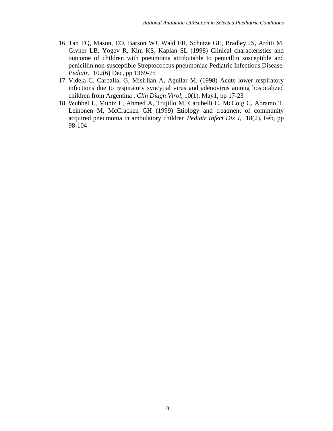- 16. Tan TQ, Mason, EO, Barson WJ, Wald ER, Schutze GE, Bradley JS, Arditi M, Givner LB, Yogev R, Kim KS, Kaplan SL (1998) Clinical characteristics and outcome of children with pneumonia attributable to penicillin susceptible and penicillin non-susceptible Streptococcus pneumoniae Pediatric Infectious Disease. *Pediatr,* 102(6) Dec, pp 1369-75
- 17. Videla C, Carballal G, Misirlian A, Aguilar M, (1998) Acute lower respiratory infections due to respiratory syncytial virus and adenovirus among hospitalized children from Argentina . *Clin Diagn Virol,* 10(1), May1, pp 17-23
- 18. Wubbel L, Muniz L, Ahmed A, Trujillo M, Carubelli C, McCoig C, Abramo T, Leinonen M, McCracken GH (1999) Etiology and treatment of community acquired pneumonia in ambulatory children *Pediatr Infect Dis J,* 18(2), Feb, pp 98-104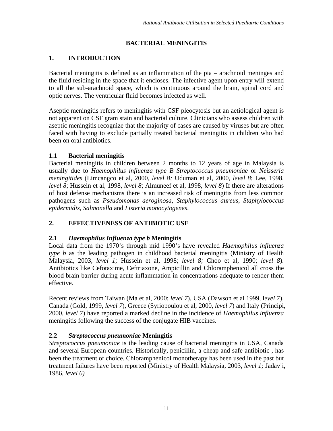# **BACTERIAL MENINGITIS**

# **1. INTRODUCTION**

Bacterial meningitis is defined as an inflammation of the pia – arachnoid meninges and the fluid residing in the space that it encloses. The infective agent upon entry will extend to all the sub-arachnoid space, which is continuous around the brain, spinal cord and optic nerves. The ventricular fluid becomes infected as well.

Aseptic meningitis refers to meningitis with CSF pleocytosis but an aetiological agent is not apparent on CSF gram stain and bacterial culture. Clinicians who assess children with aseptic meningitis recognize that the majority of cases are caused by viruses but are often faced with having to exclude partially treated bacterial meningitis in children who had been on oral antibiotics.

# **1.1 Bacterial meningitis**

Bacterial meningitis in children between 2 months to 12 years of age in Malaysia is usually due to *Haemophilus influenza type B Streptococcus pneumoniae* or *Neisseria meningitides* (Limcangco et al, 2000, *level 8;* Uduman et al, 2000, *level 8*; Lee, 1998, *level 8*; Hussein et al, 1998, *level 8*; Almuneef et al, 1998, *level 8*) If there are alterations of host defense mechanisms there is an increased risk of meningitis from less common pathogens such as *Pseudomonas aeroginosa, Staphylococcus aureus*, *Staphylococcus epidermidis, Salmonella* and *Listeria monocytogenes*.

# **2. EFFECTIVENESS OF ANTIBIOTIC USE**

# **2.1** *Haemophilus Influenza type b* **Meningitis**

Local data from the 1970's through mid 1990's have revealed *Haemophilus influenza type b* as the leading pathogen in childhood bacterial meningitis (Ministry of Health Malaysia, 2003, *level 1;* Hussein et al, 1998; *level 8;* Choo et al, 1990; *level 8*). Antibiotics like Cefotaxime, Ceftriaxone, Ampicillin and Chloramphenicol all cross the blood brain barrier during acute inflammation in concentrations adequate to render them effective.

Recent reviews from Taiwan (Ma et al, 2000; *level 7*), USA (Dawson et al 1999, l*evel 7*), Canada (Gold, 1999, *level 7*), Greece (Syriopoulou et al, 2000, *level 7*) and Italy (Principi, 2000, *level 7*) have reported a marked decline in the incidence of *Haemophilus influenza* meningitis following the success of the conjugate HIB vaccines.

# **2.2** *Streptococcus pneumoniae* **Meningitis**

*Streptococcus pneumoniae* is the leading cause of bacterial meningitis in USA, Canada and several European countries. Historically, penicillin, a cheap and safe antibiotic , has been the treatment of choice. Chloramphenicol monotherapy has been used in the past but treatment failures have been reported (Ministry of Health Malaysia, 2003, *level 1;* Jadavji, 1986, *level 6)*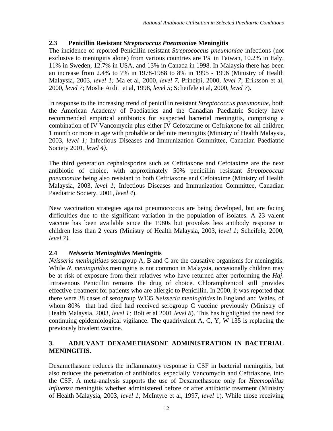#### **2.3 Penicillin Resistant** *Streptococcus Pneumonia***e Meningitis**

The incidence of reported Penicillin resistant *Streptococcus pneumoniae* infections (not exclusive to meningitis alone) from various countries are 1% in Taiwan, 10.2% in Italy, 11% in Sweden, 12.7% in USA, and 13% in Canada in 1998. In Malaysia there has been an increase from 2.4% to 7% in 1978-1988 to 8% in 1995 - 1996 (Ministry of Health Malaysia, 2003, *level 1;* Ma et al, 2000, *level 7*, Principi, 2000, *level 7*; Eriksson et al, 2000, *level 7*; Moshe Arditi et al, 1998, *level 5*; Scheifele et al, 2000, *level 7*).

In response to the increasing trend of penicillin resistant *Streptococcus pneumoniae*, both the American Academy of Paediatrics and the Canadian Paediatric Society have recommended empirical antibiotics for suspected bacterial meningitis, comprising a combination of IV Vancomycin plus either IV Cefotaxime or Ceftriaxone for all children 1 month or more in age with probable or definite meningitis (Ministry of Health Malaysia, 2003, *level 1;* Infectious Diseases and Immunization Committee, Canadian Paediatric Society 2001, *level 4).* 

The third generation cephalosporins such as Ceftriaxone and Cefotaxime are the next antibiotic of choice, with approximately 50% penicillin resistant *Streptococcus pneumoniae* being also resistant to both Ceftriaxone and Cefotaxime (Ministry of Health Malaysia, 2003, *level 1;* Infectious Diseases and Immunization Committee, Canadian Paediatric Society, 2001, *level 4*).

New vaccination strategies against pneumococcus are being developed, but are facing difficulties due to the significant variation in the population of isolates. A 23 valent vaccine has been available since the 1980s but provokes less antibody response in children less than 2 years (Ministry of Health Malaysia, 2003, *level 1;* Scheifele, 2000, *level 7).*

#### **2.4** *Neisseria Meningitides* **Meningitis**

*Neisseria meningitides* serogroup A, B and C are the causative organisms for meningitis. While *N. meningitides* meningitis is not common in Malaysia, occasionally children may be at risk of exposure from their relatives who have returned after performing the *Haj*. Intravenous Penicillin remains the drug of choice. Chloramphenicol still provides effective treatment for patients who are allergic to Penicillin. In 2000, it was reported that there were 38 cases of serogroup W135 *Neisseria meningitides* in England and Wales, of whom 80% that had died had received serogroup C vaccine previously (Ministry of Health Malaysia, 2003, *level 1;* Bolt et al 2001 *level 8*). This has highlighted the need for continuing epidemiological vigilance. The quadrivalent A, C, Y, W 135 is replacing the previously bivalent vaccine.

#### **3. ADJUVANT DEXAMETHASONE ADMINISTRATION IN BACTERIAL MENINGITIS.**

Dexamethasone reduces the inflammatory response in CSF in bacterial meningitis, but also reduces the penetration of antibiotics, especially Vancomycin and Ceftriaxone, into the CSF. A meta-analysis supports the use of Dexamethasone only for *Haemophilus influenza* meningitis whether administered before or after antibiotic treatment (Ministry of Health Malaysia, 2003, *level 1;* McIntyre et al, 1997, *level* 1). While those receiving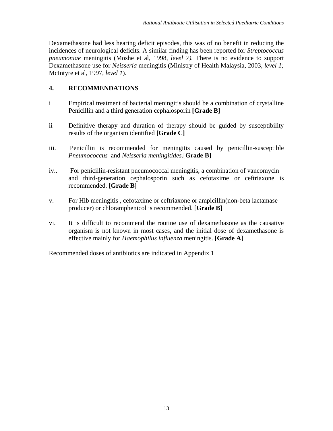Dexamethasone had less hearing deficit episodes, this was of no benefit in reducing the incidences of neurological deficits. A similar finding has been reported for *Streptococcus pneumoniae* meningitis (Moshe et al, 1998, *level 7).* There is no evidence to support Dexamethasone use for *Neisseria* meningitis (Ministry of Health Malaysia, 2003, *level 1;*  McIntyre et al, 1997, *level 1*).

## **4. RECOMMENDATIONS**

- i Empirical treatment of bacterial meningitis should be a combination of crystalline Penicillin and a third generation cephalosporin **[Grade B]**
- ii Definitive therapy and duration of therapy should be guided by susceptibility results of the organism identified **[Grade C]**
- iii. Penicillin is recommended for meningitis caused by penicillin-susceptible *Pneumococcus* and *Neisseria meningitides*.[**Grade B]**
- iv.. For penicillin-resistant pneumococcal meningitis, a combination of vancomycin and third-generation cephalosporin such as cefotaxime or ceftriaxone is recommended. **[Grade B]**
- v. For Hib meningitis , cefotaxime or ceftriaxone or ampicillin(non-beta lactamase producer) or chloramphenicol is recommended. [**Grade B]**
- vi. It is difficult to recommend the routine use of dexamethasone as the causative organism is not known in most cases, and the initial dose of dexamethasone is effective mainly for *Haemophilus influenza* meningitis. **[Grade A]**

Recommended doses of antibiotics are indicated in Appendix 1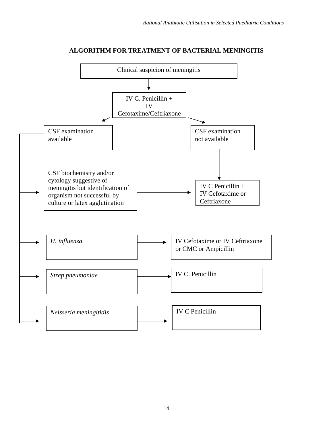

#### **ALGORITHM FOR TREATMENT OF BACTERIAL MENINGITIS**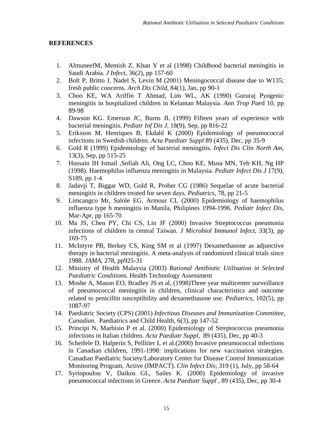#### **REFERENCES**

- 1. AlmuneefM, Memish Z, Khan Y et al (1998) Childhood bacterial meningitis in Saudi Arabia. *J Infect,* 36(2), pp 157-60
- 2. Bolt P, Britto J, Nadel S, Levin M (2001) Meningococcal disease due to W135; fresh public concerns. *Arch Dis Child*, 84(1), Jan, pp 90-1
- 3. Choo KE, WA Ariffin T Ahmad, Lim WL, AK (1990) Gururaj Pyogenic meningitis in hospitalized children in Kelantan Malaysia. *Ann Trop Pae*d 10, pp 89-98
- 4. Dawson KG. Emerson JC, Burns JL (1999) Fifteen years of experience with bacterial meningitis. *Pediatr Inf Dis J,* 18(9), Sep, pp 816-22
- 5. Eriksson M. Henriques B, Ekdahl K (2000) Epidemiology of pneumococcal infections in Swedish children. *Acta Paediatr Suppl* 89 (435), Dec, pp 35-9
- 6. Gold R (1999) Epidemiology of bacterial meningitis. *Infect Dis Clin North Am*, 13(3), Sep, pp 515-25
- 7. Hussain IH Ismail ,Sofiah Ali, Ong LC, Choo KE, Musa MN, Teh KH, Ng HP (1998). Haemophilus influenza meningitis in Malaysia. *Pediatr Infect Dis J* 17(9), S189, pp 1-4
- 8. Jadavji T, Biggar WD, Gold R, Prober CG (1986) Sequelae of acute bacterial meningitis in children treated for seven days. *Pediatrics,* 78, pp 21-5
- 9. Limcangco Mr, Salole EG, Armour CL (2000) Epidemiology of haemophilus influenza type b meningitis in Manila, Philipines 1994-1996. *Pediatr Infect Dis*, Mar-Apr, pp 165-70
- 10. Ma JS, Chen PY, Chi CS, Lin JF (2000) Invasive Streptococcus pneumonia infections of children in central Taiwan. *J Microbiol Immunol Infect*, 33(3), pp 169-75
- 11. McIntyre PB, Berkey CS, King SM et al (1997) Dexamethasone as adjunctive therapy in bacterial meningitis. A meta-analysis of randomized clinical trials since 1988. *JAMA*, 278, pp925-31
- 12. Ministry of Health Malaysia (2003) *Rational Antibiotic Utilisation in Selected Paediatric Conditions.* Health Technology Assessment
- 13. Moshe A, Mason EO, Bradley JS et al, (1998)Three year multicenter surveillance of pneumococcal meningitis in children, clinical characteristics and outcome related to penicillin susceptibility and dexamethasone use. *Pediatrics*, 102(5), pp 1087-97
- 14. Paediatric Society (CPS) (2001) *Infectious Diseases and Immunization Committee, Canadian.* Paediatrics and Child Health, 6(3), pp 147-52
- 15. Principi N, Marhisio P et al. (2000) Epidemiology of Streptococcus pneumonia infections in Italian children. *Acta Paediatr Suppl,* 89 (435), Dec, pp 40-3
- 16. Scheifele D, Halperin S, Pellitier L et al.(2000) Invasive pneumococcal infections in Canadian children, 1991-1998: implications for new vaccination strategies. Canadian Paediatric Society/Laboratory Center for Disease Control Immunization Monitoring Program, Active (IMPACT). *Clin Infect Dis*; 319 (1), July, pp 58-64
- 17. Syriopoulou V, Daikos GL, Sailes K. (2000) Epidemiology of invasive pneumococcal infections in Greece. *Acta Paediatr Suppl* , 89 (435), Dec, pp 30-4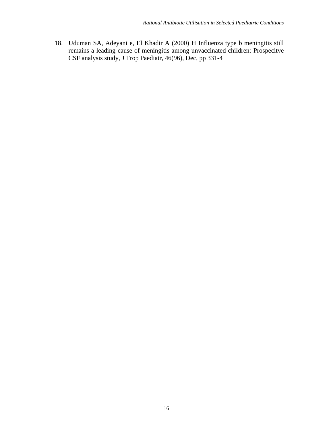18. Uduman SA, Adeyani e, El Khadir A (2000) H Influenza type b meningitis still remains a leading cause of meningitis among unvaccinated children: Prospecitve CSF analysis study, J Trop Paediatr, 46(96), Dec, pp 331-4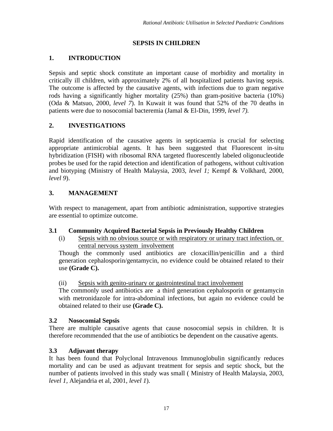# **SEPSIS IN CHILDREN**

# **1. INTRODUCTION**

Sepsis and septic shock constitute an important cause of morbidity and mortality in critically ill children, with approximately 2% of all hospitalized patients having sepsis. The outcome is affected by the causative agents, with infections due to gram negative rods having a significantly higher mortality (25%) than gram-positive bacteria (10%) (Oda & Matsuo, 2000, *level 7*). In Kuwait it was found that 52% of the 70 deaths in patients were due to nosocomial bacteremia (Jamal & El-Din, 1999, *level 7).*

# **2. INVESTIGATIONS**

Rapid identification of the causative agents in septicaemia is crucial for selecting appropriate antimicrobial agents. It has been suggested that Fluorescent in-situ hybridization (FISH) with ribosomal RNA targeted fluorescently labeled oligonucleotide probes be used for the rapid detection and identification of pathogens, without cultivation and biotyping (Ministry of Health Malaysia, 2003, *level 1;* Kempf & Volkhard, 2000, *level 9*).

# **3. MANAGEMENT**

With respect to management, apart from antibiotic administration, supportive strategies are essential to optimize outcome.

## **3.1 Community Acquired Bacterial Sepsis in Previously Healthy Children**

(i) Sepsis with no obvious source or with respiratory or urinary tract infection, or central nervous system involvement

Though the commonly used antibiotics are cloxacillin/penicillin and a third generation cephalosporin/gentamycin, no evidence could be obtained related to their use **(Grade C).**

## (ii) Sepsis with genito-urinary or gastrointestinal tract involvement

The commonly used antibiotics are a third generation cephalosporin or gentamycin with metronidazole for intra-abdominal infections, but again no evidence could be obtained related to their use **(Grade C).** 

## **3.2 Nosocomial Sepsis**

There are multiple causative agents that cause nosocomial sepsis in children. It is therefore recommended that the use of antibiotics be dependent on the causative agents.

## **3.3 Adjuvant therapy**

It has been found that Polyclonal Intravenous Immunoglobulin significantly reduces mortality and can be used as adjuvant treatment for sepsis and septic shock, but the number of patients involved in this study was small ( Ministry of Health Malaysia, 2003, *level 1,* Alejandria et al*,* 2001, *level 1*).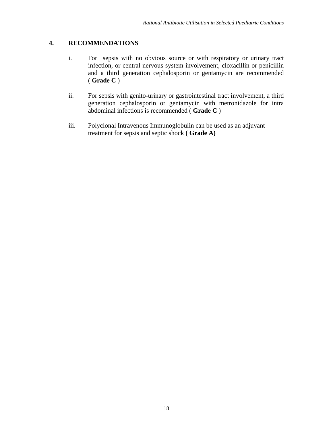#### **4. RECOMMENDATIONS**

- i. For sepsis with no obvious source or with respiratory or urinary tract infection, or central nervous system involvement, cloxacillin or penicillin and a third generation cephalosporin or gentamycin are recommended ( **Grade C** )
- ii. For sepsis with genito-urinary or gastrointestinal tract involvement, a third generation cephalosporin or gentamycin with metronidazole for intra abdominal infections is recommended ( **Grade C** )
- iii. Polyclonal Intravenous Immunoglobulin can be used as an adjuvant treatment for sepsis and septic shock **( Grade A)**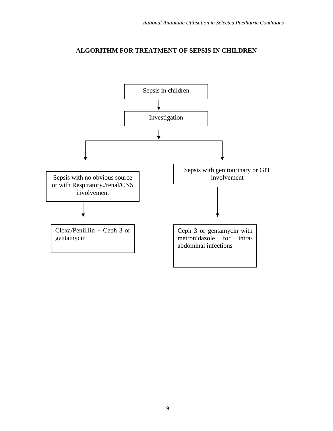#### **ALGORITHM FOR TREATMENT OF SEPSIS IN CHILDREN**

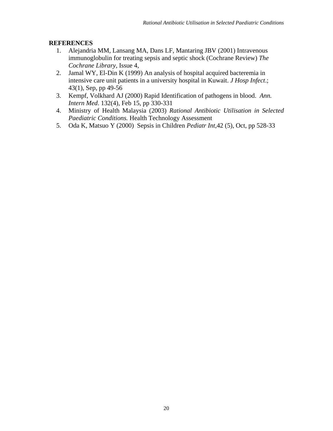#### **REFERENCES**

- 1. Alejandria MM, Lansang MA, Dans LF, Mantaring JBV (2001) Intravenous immunoglobulin for treating sepsis and septic shock (Cochrane Review) *The Cochrane Library*, Issue 4,
- 2. Jamal WY, El-Din K (1999) An analysis of hospital acquired bacteremia in intensive care unit patients in a university hospital in Kuwait. *J Hosp Infect*.; 43(1), Sep, pp 49-56
- 3. Kempf, Volkhard AJ (2000) Rapid Identification of pathogens in blood. *Ann. Intern Med*. 132(4), Feb 15, pp 330-331
- 4. Ministry of Health Malaysia (2003) *Rational Antibiotic Utilisation in Selected Paediatric Conditions.* Health Technology Assessment
- 5. Oda K, Matsuo Y (2000) Sepsis in Children *Pediatr Int*,42 (5), Oct, pp 528-33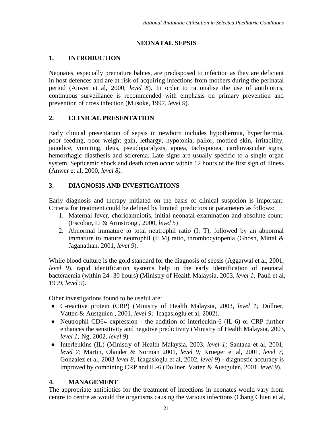# **NEONATAL SEPSIS**

# **1. INTRODUCTION**

Neonates, especially premature babies, are predisposed to infection as they are deficient in host defences and are at risk of acquiring infections from mothers during the perinatal period (Anwer et al, 2000, *level 8*). In order to rationalise the use of antibiotics, continuous surveillance is recommended with emphasis on primary prevention and prevention of cross infection (Musoke, 1997, *level 9*).

# **2. CLINICAL PRESENTATION**

Early clinical presentation of sepsis in newborn includes hypothermia, hyperthermia, poor feeding, poor weight gain, lethargy, hypotonia, pallor, mottled skin, irritability, jaundice, vomiting, ileus, pseudoparalysis, apnea, tachypnoea, cardiovascular signs, hemorrhagic diasthesis and sclerema. Late signs are usually specific to a single organ system. Septicemic shock and death often occur within 12 hours of the first sign of illness (Anwer et al, 2000, *level 8).*

# **3. DIAGNOSIS AND INVESTIGATIONS**

Early diagnosis and therapy initiated on the basis of clinical suspicion is important. Criteria for treatment could be defined by limited predictors or parameters as follows:

- 1. Maternal fever, chorioamniotis, initial neonatal examination and absolute count. (Escobar, Li & Armstrong , 2000, *level 5*)
- 2. Abnormal immature to total neutrophil ratio (I: T), followed by an abnormal immature to mature neutrophil (I: M) ratio, thrombocytopenia (Ghosh, Mittal  $\&$ Jaganathan, 2001, *level 9*).

While blood culture is the gold standard for the diagnosis of sepsis (Aggarwal et al, 2001, *level 9*), rapid identification systems help in the early identification of neonatal bacteraemia (within 24- 30 hours) (Ministry of Health Malaysia, 2003, *level 1;* Pauli et al*,* 1999, *level 9*).

Other investigations found to be useful are:

- ♦ C-reactive protein (CRP) (Ministry of Health Malaysia, 2003, *level 1;* Dollner, Vatten & Austgulen , 2001, *level 9*; Icagasloglu et al, 2002).
- ♦ Neutrophil CD64 expression the addition of interleukin-6 (IL-6) or CRP further enhances the sensitivity and negative predictivity (Ministry of Health Malaysia, 2003, *level 1;* Ng, 2002, *level 9*)
- ♦ Interleukins (IL) (Ministry of Health Malaysia, 2003, *level 1;* Santana et al, 2001, *level 7*; Martin, Olander & Norman 2001, *level 9;* Krueger et al, 2001, *level 7;* Gonzalez et al, 2003 *level 8;* Icagasloglu et al, 2002, *level 9*) - diagnostic accuracy is improved by combining CRP and IL-6 (Dollner, Vatten & Austgulen, 2001, *level 9*).

# **4. MANAGEMENT**

The appropriate antibiotics for the treatment of infections in neonates would vary from centre to centre as would the organisms causing the various infections (Chang Chien et al*,*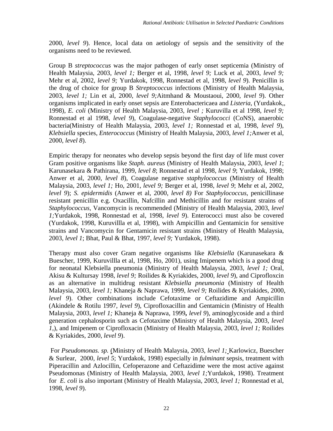2000, *level 9*). Hence, local data on aetiology of sepsis and the sensitivity of the organisms need to be reviewed.

Group B *streptococcus* was the major pathogen of early onset septicemia (Ministry of Health Malaysia, 2003, *level 1;* Berger et al, 1998, *level 9;* Luck et al, 2003, *level 9;* Mehr et al, 2002, *level 9;* Yurdakok, 1998, Ronnestad et al, 1998, *level 9*). Penicillin is the drug of choice for group B *Streptococcus* infections (Ministry of Health Malaysia, 2003, *level 1;* Lin et al*,* 2000, *level 9;*Aitmhand & Moustaoui, 2000, *level 9*). Other organisms implicated in early onset sepsis are Enterobactericaea and *Listeria*, (Yurdakok,, 1998), *E. coli* (Ministry of Health Malaysia, 2003, *level ;* Kuruvilla et al 1998, *level 9;* Ronnestad et al 1998, *level 9*), Coagulase-negative *Staphylococci* (CoNS), anaerobic bacteria(Ministry of Health Malaysia, 2003, *level 1;* Ronnestad et al, 1998, *level 9*), *Klebsiella* species, *Enterococcus* (Ministry of Health Malaysia, 2003, *level 1;*Anwer et al, 2000, *level 8*).

Empiric therapy for neonates who develop sepsis beyond the first day of life must cover Gram positive organisms like *Staph. aureus* (Ministry of Health Malaysia, 2003, *level 1*; Karunasekara & Pathirana, 1999, *level 8*; Ronnestad et al 1998, *level 9*; Yurdakok, 1998; Anwer et al, 2000, *level 8*), Coagulase negative *staphylococcus* (Ministry of Health Malaysia, 2003, *level 1;* Ho, 2001, *level 9;* Berger et al, 1998, *level 9*; Mehr et al, 2002, *level 9*); *S. epidermidis* (Anwer et al, 2000, *level 8)* For *Staphylococcus*, penicillinase resistant penicillin e.g. Oxacillin, Nafcillin and Methicillin and for resistant strains of *Staphylococcus,* Vancomycin is recommended (Ministry of Health Malaysia, 2003, *level 1;*Yurdakok, 1998, Ronnestad et al, 1998, *level 9*). Enterococci must also be covered (Yurdakok, 1998, Kuruvillla et al, 1998), with Ampicillin and Gentamicin for sensitive strains and Vancomycin for Gentamicin resistant strains (Ministry of Health Malaysia, 2003*, level 1*; Bhat, Paul & Bhat, 1997, *level 9;* Yurdakok, 1998).

Therapy must also cover Gram negative organisms like *Klebsiella* (Karunasekara & Buescher, 1999, Kuruvillla et al, 1998, Ho, 2001), using Imipenem which is a good drug for neonatal Klebsiella pneumonia (Ministry of Health Malaysia, 2003, *level 1;* Oral, Akisu & Kultursay 1998, *level 9;* Roilides & Kyriakides, 2000, *level 9*), and Ciprofloxcin as an alternative in multidrug resistant *Klebsiella pneumonia* (Ministry of Health Malaysia, 2003, *level 1;* Khaneja & Naprawa, 1999, *level 9;* Roilides & Kyriakides, 2000, *level 9*). Other combinations include Cefotaxime or Ceftazidime and Ampicillin (Akindele & Rotilu 1997, *level 9*), Ciprofloxacillin and Gentamicin (Ministry of Health Malaysia, 2003, *level 1;* Khaneja & Naprawa, 1999**,** *level 9*), aminoglycoside and a third generation cephalosporin such as Cefotaxime (Ministry of Health Malaysia, 2003, *level 1,*), and Imipenem or Ciprofloxacin (Ministry of Health Malaysia, 2003, *level 1;* Roilides & Kyriakides, 2000, *level 9*).

 For *Pseudomonas. sp.* (Ministry of Health Malaysia, 2003, *level 1;* Karlowicz, Buescher & Surlear, 2000, *level 5*; Yurdakok, 1998) especially in *fulminant* sepsis, treatment with Piperacillin and Azlocillin, Cefoperazone and Ceftazidime were the most active against Pseudomonas (Ministry of Health Malaysia, 2003, *level 1;*Yurdakok, 1998). Treatment for *E. coli* is also important (Ministry of Health Malaysia, 2003, *level 1;* Ronnestad et al, 1998, *level 9*).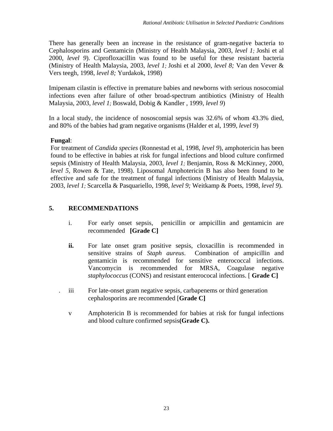There has generally been an increase in the resistance of gram-negative bacteria to Cephalosporins and Gentamicin (Ministry of Health Malaysia, 2003, *level 1;* Joshi et al 2000, *level 9*). Ciprofloxacillin was found to be useful for these resistant bacteria (Ministry of Health Malaysia, 2003, *level 1;* Joshi et al 2000, *level 8;* Van den Vever & Vers teegh, 1998, *level 8;* Yurdakok, 1998)

Imipenam cilastin is effective in premature babies and newborns with serious nosocomial infections even after failure of other broad-spectrum antibiotics (Ministry of Health Malaysia, 2003, *level 1;* Boswald, Dobig & Kandler , 1999, *level 9*)

In a local study, the incidence of nososcomial sepsis was 32.6% of whom 43.3% died, and 80% of the babies had gram negative organisms (Halder et al, 1999, *level 9*)

## **Fungal**:

For treatment of *Candida species* (Ronnestad et al, 1998, *level 9*), amphotericin has been found to be effective in babies at risk for fungal infections and blood culture confirmed sepsis (Ministry of Health Malaysia, 2003, *level 1;* Benjamin, Ross & McKinney, 2000, *level 5,* Rowen & Tate, 1998). Liposomal Amphotericin B has also been found to be effective and safe for the treatment of fungal infections (Ministry of Health Malaysia, 2003, *level 1;* Scarcella & Pasquariello, 1998, *level 9;* Weitkamp & Poets, 1998, *level 9*).

# **5. RECOMMENDATIONS**

- i. For early onset sepsis, penicillin or ampicillin and gentamicin are recommended **[Grade C]**
- **ii.** For late onset gram positive sepsis, cloxacillin is recommended in sensitive strains of *Staph aureus*. Combination of ampicillin and gentamicin is recommended for sensitive enterococcal infections. Vancomycin is recommended for MRSA, Coagulase negative *staphylococcus* (CONS) and resistant enterococal infections. [ **Grade C]**
- . iii For late-onset gram negative sepsis, carbapenems or third generation cephalosporins are recommended [**Grade C]** 
	- v Amphotericin B is recommended for babies at risk for fungal infections and blood culture confirmed sepsis**(Grade C).**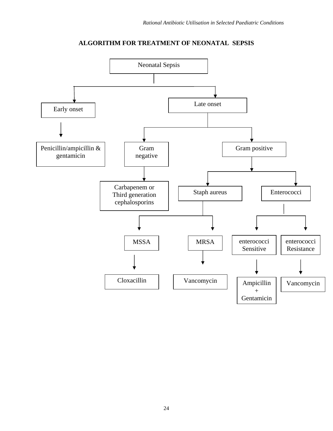

# **ALGORITHM FOR TREATMENT OF NEONATAL SEPSIS**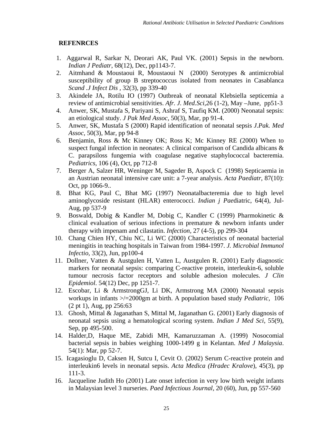#### **REFENRCES**

- 1. Aggarwal R, Sarkar N, Deorari AK, Paul VK. (2001) Sepsis in the newborn. *Indian J Pediatr*, 68(12), Dec, pp1143-7.
- 2. Aitmhand & Moustaoui R, Moustaoui N (2000) Serotypes & antimicrobial susceptibility of group B streptococcus isolated from neonates in Casablanca *Scand .J Infect Dis ,* 32(3), pp 339-40
- 3. Akindele JA, Rotilu IO (1997) Outbreak of neonatal Klebsiella septicemia a review of antimicrobial sensitivities. *Afr. J. Med.Sci,*26 (1-2), May –June, pp51-3
- 4. Anwer, SK, Mustafa S, Pariyani S, Ashraf S, Taufiq KM. (2000) Neonatal sepsis: an etiological study. *J Pak Med Assoc,* 50(3), Mar, pp 91-4.
- 5. Anwer, SK, Mustafa S (2000) Rapid identification of neonatal sepsis *J.Pak. Med Assoc,* 50(3), Mar, pp 94-8
- 6. Benjamin, Ross & Mc Kinney OK; Ross K; Mc Kinney RE (2000) When to suspect fungal infection in neonates: A clinical comparison of Candida albicans & C. parapsiloss fungemia with coagulase negative staphylococcal bacteremia. *Pediatrics,* 106 (4), Oct, pp 712-8
- 7. Berger A, Salzer HR, Weninger M, Sageder B, Aspock C (1998) Septicaemia in an Austrian neonatal intensive care unit: a 7-year analysis. *Acta Paediatr*, 87(10): Oct, pp 1066-9..
- 8. Bhat KG, Paul C, Bhat MG (1997) Neonatalbacteremia due to high level aminoglycoside resistant (HLAR) enterococci. *Indian j Pae*diatric, 64(4), Jul-Aug, pp 537-9
- 9. Boswald, Dobig & Kandler M, Dobig C, Kandler C (1999) Pharmokinetic & clinical evaluation of serious infections in premature & newborn infants under therapy with impenam and cilastatin. *Infection,* 27 (4-5), pp 299-304
- 10. Chang Chien HY, Chiu NC, Li WC (2000) Characteristics of neonatal bacterial meningitis in teaching hospitals in Taiwan from 1984-1997. *J. Microbial Immunol Infectio,* 33(2), Jun, pp100-4
- 11. Dollner, Vatten & Austgulen H, Vatten L, Austgulen R. (2001) Early diagnostic markers for neonatal sepsis: comparing C-reactive protein, interleukin-6, soluble tumour necrosis factor receptors and soluble adhesion molecules. *J Clin Epidemiol*. 54(12) Dec, pp 1251-7.
- 12. Escobar, Li & ArmstrongGJ, Li DK, Armstrong MA (2000) Neonatal sepsis workups in infants >/=2000gm at birth. A population based study *Pediatric,* 106 (2 pt 1), Aug, pp 256:63
- 13. Ghosh, Mittal & Jaganathan S, Mittal M, Jaganathan G. (2001) Early diagnosis of neonatal sepsis using a hematological scoring system. *Indian J Med Sci*, 55(9), Sep, pp 495-500.
- 14. Halder,D, Haque ME, Zabidi MH, Kamaruzzaman A. (1999) Nosocomial bacterial sepsis in babies weighing 1000-1499 g in Kelantan. *Med J Malaysia*. 54(1): Mar, pp 52-7.
- 15. Icagasioglu D, Caksen H, Sutcu I, Cevit O. (2002) Serum C-reactive protein and interleukin6 levels in neonatal sepsis. *Acta Medica (Hradec Kralove*), 45(3), pp 111-3.
- 16. Jacqueline Judith Ho (2001) Late onset infection in very low birth weight infants in Malaysian level 3 nurseries. *Paed Infectious Journal*, 20 (60), Jun, pp 557-560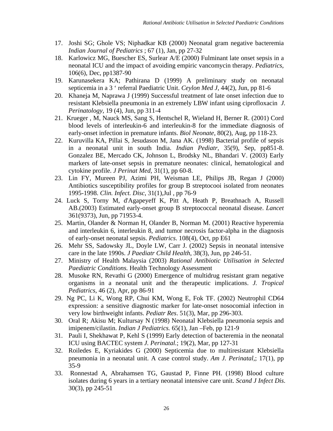- 17. Joshi SG; Ghole VS; Niphadkar KB (2000) Neonatal gram negative bacteremia *Indian Journal of Pediatrics* ; 67 (1), Jan, pp 27-32
- 18. Karlowicz MG, Buescher ES, Surlear A/E (2000) Fulminant late onset sepsis in a neonatal ICU and the impact of avoiding empiric vancomycin therapy. *Pediatrics,* 106(6), Dec, pp1387-90
- 19. Karunasekera KA; Pathirana D (1999) A preliminary study on neonatal septicemia in a 3 ' referral Paediatric Unit. *Ceylon Med J,* 44(2), Jun, pp 81-6
- 20. Khaneja M, Naprawa J (1999) Successful treatment of late onset infection due to resistant Klebsiella pneumonia in an extremely LBW infant using ciprofloxacin *J. Perinatology,* 19 (4), Jun, pp 311-4
- 21. Krueger , M, Nauck MS, Sang S, Hentschel R, Wieland H, Berner R. (2001) Cord blood levels of interleukin-6 and interleukin-8 for the immediate diagnosis of early-onset infection in premature infants. *Biol Neonate*, 80(2), Aug, pp 118-23.
- 22. Kuruvilla KA, Pillai S, Jesudason M, Jana AK. (1998) Bacterial profile of sepsis in a neonatal unit in south India. *Indian Pediatr,* 35(9), Sep, pp851-8. Gonzalez BE, Mercado CK, Johnson L, Brodsky NL, Bhandari V. (2003) Early markers of late-onset sepsis in premature neonates: clinical, hematological and cytokine profile. *J Perinat Med,* 31(1), pp 60-8.
- 23. Lin FY, Mureen PJ, Azimi PH, Weisman LE, Philips JB, Regan J (2000) Antibiotics susceptibility profiles for group B streptocooi isolated from neonates 1995-1998. *Clin. Infect. Disc*, 31(1),Jul , pp 76-9
- 24. Luck S, Torny M, d'Agapeyeff K, Pitt A, Heath P, Breathnach A, Russell AB.(2003) Estimated early-onset group B streptococcal neonatal disease. *Lancet* 361(9373), Jun, pp 71953-4.
- 25. Martin, Olander & Norman H, Olander B, Norman M. (2001) Reactive hyperemia and interleukin 6, interleukin 8, and tumor necrosis factor-alpha in the diagnosis of early-onset neonatal sepsis. *Pediatrics*. 108(4), Oct, pp E61
- 26. Mehr SS, Sadowsky JL, Doyle LW, Carr J. (2002) Sepsis in neonatal intensive care in the late 1990s. *J Paediatr Child Health*, 38(3), Jun, pp 246-51.
- 27. Ministry of Health Malaysia (2003) *Rational Antibiotic Utilisation in Selected Paediatric Conditions.* Health Technology Assessment
- 28. Musoke RN, Revathi G (2000) Emergence of multidrug resistant gram negative organisms in a neonatal unit and the therapeutic implications. *J. Tropical Pediatrics,* 46 (2), Apr, pp 86-91
- 29. Ng PC, Li K, Wong RP, Chui KM, Wong E, Fok TF. (2002) Neutrophil CD64 expression: a sensitive diagnostic marker for late-onset nosocomial infection in very low birthweight infants. *Pediatr Res*. 51(3), Mar, pp 296-303.
- 30. Oral R; Akisu M; Kultursay N (1998) Neonatal Klebsiella pneumonia sepsis and imipenem/cilastin. *Indian J Pediatrics.* 65(1), Jan –Feb, pp 121-9
- 31. Pauli I, Shekhawat P, Kehl S (1999) Early detection of bacteremia in the neonatal ICU using BACTEC system *J. Perinatal.*; 19(2), Mar, pp 127-31
- 32. Roiledes E, Kyriakides G (2000) Septicemia due to multiresistant Klebsiella pneumonia in a neonatal unit. A case control study. *Am J. Perinatal,*; 17(1), pp 35-9
- 33. Ronnestad A, Abrahamsen TG, Gaustad P, Finne PH. (1998) Blood culture isolates during 6 years in a tertiary neonatal intensive care unit. *Scand J Infect Dis*. 30(3), pp 245-51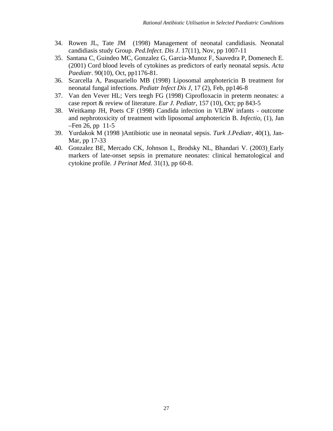- 34. Rowen JL, Tate JM (1998) Management of neonatal candidiasis. Neonatal candidiasis study Group. *Ped.Infect. Dis J*. 17(11), Nov, pp 1007-11
- 35. Santana C, Guindeo MC, Gonzalez G, Garcia-Munoz F, Saavedra P, Domenech E. (2001) Cord blood levels of cytokines as predictors of early neonatal sepsis. *Acta Paediatr*. 90(10), Oct, pp1176-81.
- 36. Scarcella A, Pasquariello MB (1998) Liposomal amphotericin B treatment for neonatal fungal infections. *Pediatr Infect Dis J*, 17 (2), Feb, pp146-8
- 37. Van den Vever HL; Vers teegh FG (1998) Ciprofloxacin in preterm neonates: a case report & review of literature. *Eur J. Pediatr,* 157 (10), Oct; pp 843-5
- 38. Weitkamp JH, Poets CF (1998) Candida infection in VLBW infants outcome and nephrotoxicity of treatment with liposomal amphotericin B. *Infectio,* (1), Jan –Fen 26, pp 11-5
- 39. Yurdakok M (1998 )Antibiotic use in neonatal sepsis. *Turk J.Pediatr,* 40(1), Jan-Mar, pp 17-33
- 40. Gonzalez BE, Mercado CK, Johnson L, Brodsky NL, Bhandari V. (2003) Early markers of late-onset sepsis in premature neonates: clinical hematological and cytokine profile*. J Perinat Med.* 31(1), pp 60-8.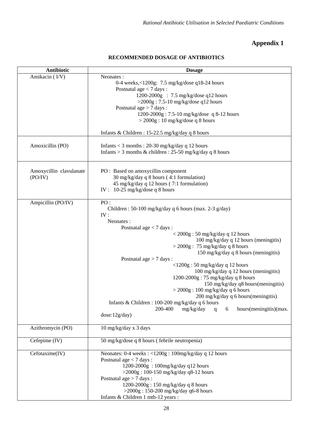# **Appendix 1**

| <b>RECOMMENDED DOSAGE OF ANTIBIOTICS</b> |  |
|------------------------------------------|--|
|------------------------------------------|--|

| Antibiotic                         | <b>Dosage</b>                                                                                                                                                                                                                                                                                                                                                                                                                                                                                                                                                                                                                                                                                                     |
|------------------------------------|-------------------------------------------------------------------------------------------------------------------------------------------------------------------------------------------------------------------------------------------------------------------------------------------------------------------------------------------------------------------------------------------------------------------------------------------------------------------------------------------------------------------------------------------------------------------------------------------------------------------------------------------------------------------------------------------------------------------|
| Amikacin (I/V)                     | Neonates:<br>0-4 weeks, $< 1200g$ : 7.5 mg/kg/dose q18-24 hours<br>Postnatal age $< 7$ days:<br>1200-2000g : 7.5 mg/kg/dose q12 hours<br>$>$ 2000g: 7.5-10 mg/kg/dose q12 hours<br>Postnatal age $> 7$ days:                                                                                                                                                                                                                                                                                                                                                                                                                                                                                                      |
|                                    | 1200-2000g: 7.5-10 mg/kg/dose q 8-12 hours<br>$>$ 2000g : 10 mg/kg/dose q 8 hours                                                                                                                                                                                                                                                                                                                                                                                                                                                                                                                                                                                                                                 |
|                                    | Infants & Children : $15-22.5$ mg/kg/day q 8 hours                                                                                                                                                                                                                                                                                                                                                                                                                                                                                                                                                                                                                                                                |
| Amoxicillin (PO)                   | Infants $<$ 3 months : 20-30 mg/kg/day q 12 hours<br>Infants > 3 months & children : $25-50$ mg/kg/day q 8 hours                                                                                                                                                                                                                                                                                                                                                                                                                                                                                                                                                                                                  |
| Amoxycillin clavulanate<br>(PO/IV) | PO : Based on amoxycillin component<br>30 mg/kg/day q 8 hours (4:1 formulation)<br>45 mg/kg/day q 12 hours (7:1 formulation)<br>IV: 10-25 mg/kg/dose q 8 hours                                                                                                                                                                                                                                                                                                                                                                                                                                                                                                                                                    |
| Ampicillin (PO/IV)                 | PO:<br>Children: 50-100 mg/kg/day q 6 hours (max. 2-3 g/day)<br>IV:<br>Neonates:<br>Postnatal age $<$ 7 days :<br>$\langle 2000g : 50 \text{ mg/kg/day} q 12 \text{ hours} \rangle$<br>100 mg/kg/day q 12 hours (meningitis)<br>$>$ 2000g : 75 mg/kg/day q 8 hours<br>150 mg/kg/day q 8 hours (meningitis)<br>Postnatal age $> 7$ days:<br><1200g: 50 mg/kg/day q 12 hours<br>100 mg/kg/day q 12 hours (meningitis)<br>1200-2000g: 75 mg/kg/day q 8 hours<br>150 mg/kg/day q8 hours(meningitis)<br>$>$ 2000g : 100 mg/kg/day q 6 hours<br>200 mg/kg/day q 6 hours (meningitis)<br>Infants & Children : $100-200$ mg/kg/day q 6 hours<br>200-400<br>mg/kg/day<br>hours(meningitis)(max.<br>6<br>q<br>dose:12g/day) |
| Azithromycin (PO)                  | 10 mg/kg/day x 3 days                                                                                                                                                                                                                                                                                                                                                                                                                                                                                                                                                                                                                                                                                             |
| Cefepime (IV)                      | 50 mg/kg/dose q 8 hours (febrile neutropenia)                                                                                                                                                                                                                                                                                                                                                                                                                                                                                                                                                                                                                                                                     |
| Cefotaxime(IV)                     | Neonates: 0-4 weeks: <1200g: 100mg/kg/day q 12 hours<br>Postnatal age $<$ 7 days :<br>1200-2000g: 100mg/kg/day q12 hours<br>$>$ 2000g: 100-150 mg/kg/day q8-12 hours<br>Postnatal age $> 7$ days:<br>1200-2000g: 150 mg/kg/day q 8 hours<br>>2000g: 150-200 mg/kg/day q6-8 hours<br>Infants & Children 1 mth-12 years :                                                                                                                                                                                                                                                                                                                                                                                           |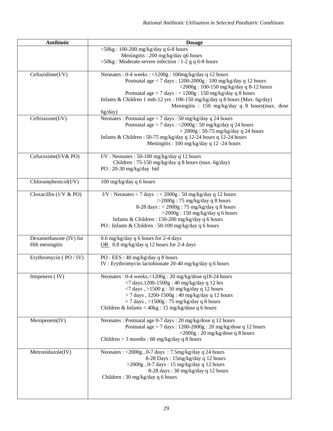| Antibiotic                            | <b>Dosage</b>                                                                                                                            |
|---------------------------------------|------------------------------------------------------------------------------------------------------------------------------------------|
|                                       | $\langle 50kg : 100-200 mg/kg/day q 6-8 hours$                                                                                           |
|                                       | Meningitis: 200 mg/kg/day q6 hours<br>$>50$ kg: Moderate-severe infection : 1-2 g q 6-8 hours                                            |
|                                       |                                                                                                                                          |
| Ceftazidime(I/V)                      | Neonates: 0-4 weeks: <1200g: 100mg/kg/day q 12 hours                                                                                     |
|                                       | Postnatal age $< 7$ days: $1200-2000g : 100$ mg/kg/day q 12 hours                                                                        |
|                                       | >2000g: 100-150 mg/kg/day q 8-12 hours                                                                                                   |
|                                       | Postnatal age > 7 days : > 1200g : 150 mg/kg/day q 8 hours<br>Infants & Children 1 mth-12 yrs: 100-150 mg/kg/day q 8 hours (Max. 6g/day) |
|                                       | Meningitis : 150 mg/kg/day q 8 hours (max. dose                                                                                          |
|                                       | 6g/day)                                                                                                                                  |
| $\overline{\text{C}}$ eftriaxone(I/V) | Neonates: Postnatal age < 7 days: 50 mg/kg/day q 24 hours                                                                                |
|                                       | Postnatal age > 7 days : <2000g : 50 mg/kg/day q 24 hours                                                                                |
|                                       | $>$ 2000g : 50-75 mg/kg/day q 24 hours<br>Infants & Children: 50-75 mg/kg/day q 12-24 hours q 12-24 hours                                |
|                                       | Meningitis: 100 mg/kg/day q 12 -24 hours                                                                                                 |
|                                       |                                                                                                                                          |
| Cefuroxime(I/V& PO)                   | I/V: Neonates: 50-100 mg/kg/day q 12 hours                                                                                               |
|                                       | Children: 75-150 mg/kg/day q 8 hours (max. 6g/day)<br>$PO: 20-30$ mg/kg/day bid                                                          |
|                                       |                                                                                                                                          |
| $Chloramphenicol(I/V)$                | 100 mg/kg/day q 6 hours                                                                                                                  |
|                                       |                                                                                                                                          |
| Cloxacillin $(1/\sqrt{8}PQ)$          | I/V: Neonates < 7 days : < $2000g : 50 \text{ mg/kg/day}$ q 12 hours<br>: $>$ 2000g: 75 mg/kg/day q 8 hours                              |
|                                       | 8-28 days: < 2000g: 75 mg/kg/day q 8 hours                                                                                               |
|                                       | $>$ 2000g: 150 mg/kg/day q 6 hours                                                                                                       |
|                                       | Infants & Children : 150-200 mg/kg/day q 6 hours                                                                                         |
|                                       | PO: Infants & Children: 50-100 mg/kg/day q 6 hours                                                                                       |
| Dexamethasone (IV) for                | 0.6 mg/kg/day q 6 hours for 2-4 days                                                                                                     |
| Hib meningitis                        | OR $\,$ 0.8 mg/kg/day q 12 hours for 2-4 days                                                                                            |
|                                       |                                                                                                                                          |
| Erythromycin (PO / IV)                | PO : EES : 40 mg/kg/day q 8 hours                                                                                                        |
|                                       | IV : Erythromycin lactobionate 20-40 mg/kg/day q 6 hours                                                                                 |
| Imipenem (IV)                         | Neonates: 0-4 weeks,<1200g: 20 mg/kg/dose q18-24 hours                                                                                   |
|                                       | $\langle 7 \text{ days}, 1200 - 1500 \text{g} : 40 \text{ mg/kg/day} \text{q} 12 \text{ hrs} \rangle$                                    |
|                                       | $\langle 7 \text{ days }, \rangle$ 1500 g: 50 mg/kg/day q 12 hours                                                                       |
|                                       | > 7 days, 1200-1500g: 40 mg/kg/day q 12 hours<br>$>$ 7 days, $>$ 1500g : 75 mg/kg/day q 8 hours                                          |
|                                       | Children & Infants < 40kg : 15 mg/kg/dose q 6 hours                                                                                      |
|                                       |                                                                                                                                          |
| Meropenem(IV)                         | Neonates : Postnatal age 0-7 days : 20 mg/kg/dose q 12 hours                                                                             |
|                                       | Postnatal age > 7 days: 1200-2000g: 20 mg/kg/dose q 12 hours                                                                             |
|                                       | $>$ 2000g: 20 mg/kg/dose q 8 hours                                                                                                       |
|                                       | Children $> 3$ months : 60 mg/kg/day q 8 hours                                                                                           |
| Metronidazole(IV)                     | Neonates: <2000g, 0-7 days: 7.5mg/kg/day q 24 hours                                                                                      |
|                                       | 8-28 Days: 15mg/kg/day q 12 hours                                                                                                        |
|                                       | $>$ 2000g, 0-7 days: 15 mg/kg/day q 12 hours                                                                                             |
|                                       | 8-28 days: 30 mg/kg/day q 12 hours<br>Children: 30 mg/kg/day q 6 hours                                                                   |
|                                       |                                                                                                                                          |
|                                       |                                                                                                                                          |
|                                       |                                                                                                                                          |